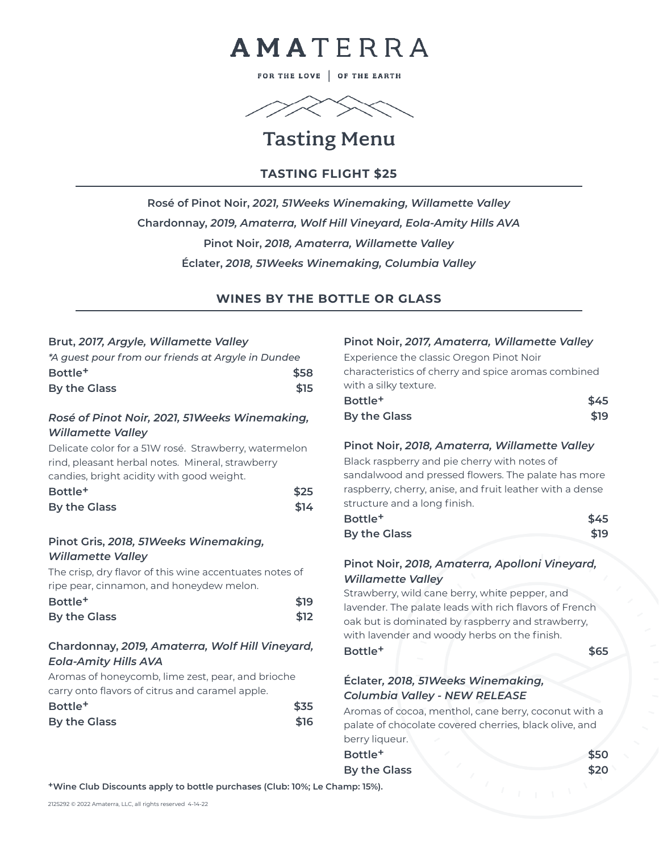

FOR THE LOVE | OF THE EARTH



# Tasting Menu

### **TASTING FLIGHT \$25**

**Rosé of Pinot Noir,** *2021, 51Weeks Winemaking, Willamette Valley* **Chardonnay,** *2019, Amaterra, Wolf Hill Vineyard, Eola-Amity Hills AVA* **Pinot Noir,** *2018, Amaterra, Willamette Valley* **Éclater,** *2018, 51Weeks Winemaking, Columbia Valley*

#### **WINES BY THE BOTTLE OR GLASS**

#### **Brut,** *2017, Argyle, Willamette Valley*

| *A quest pour from our friends at Arayle in Dundee |      |
|----------------------------------------------------|------|
| Bottle <sup>+</sup>                                | \$58 |
| By the Glass                                       | \$15 |

#### *Rosé of Pinot Noir, 2021, 51Weeks Winemaking, Willamette Valley*

Delicate color for a 51W rosé. Strawberry, watermelon rind, pleasant herbal notes. Mineral, strawberry candies, bright acidity with good weight.

| Bottle <sup>+</sup> | \$25 |  |
|---------------------|------|--|
| By the Glass        | \$14 |  |

#### **Pinot Gris,** *2018, 51Weeks Winemaking, Willamette Valley*

The crisp, dry flavor of this wine accentuates notes of ripe pear, cinnamon, and honeydew melon.

| Bottle <sup>+</sup> | \$19 |  |
|---------------------|------|--|
| By the Glass        | \$12 |  |

#### **Chardonnay,** *2019, Amaterra, Wolf Hill Vineyard, Eola-Amity Hills AVA*

Aromas of honeycomb, lime zest, pear, and brioche carry onto flavors of citrus and caramel apple.

| Bottle <sup>+</sup> | \$35 |  |
|---------------------|------|--|
| By the Glass        | \$16 |  |

| Pinot Noir, 2017, Amaterra, Willamette Valley<br>Experience the classic Oregon Pinot Noir<br>characteristics of cherry and spice aromas combined<br>with a silky texture. |      |
|---------------------------------------------------------------------------------------------------------------------------------------------------------------------------|------|
| Bottle <sup>+</sup>                                                                                                                                                       | \$45 |
| <b>By the Glass</b>                                                                                                                                                       | \$19 |
| Pinot Noir, 2018, Amaterra, Willamette Valley                                                                                                                             |      |
| Black raspberry and pie cherry with notes of                                                                                                                              |      |
| sandalwood and pressed flowers. The palate has more<br>raspberry, cherry, anise, and fruit leather with a dense                                                           |      |
| structure and a long finish.<br>Bottle <sup>+</sup>                                                                                                                       | \$45 |
| <b>By the Glass</b>                                                                                                                                                       | \$19 |
| Pinot Noir, 2018, Amaterra, Apolloni Vineyard,                                                                                                                            |      |
| <b>Willamette Valley</b>                                                                                                                                                  |      |
| Strawberry, wild cane berry, white pepper, and<br>lavender. The palate leads with rich flavors of French<br>oak but is deminated by resphere; and strawbers;              |      |

oak but is dominated by raspberry and strawberry, with lavender and woody herbs on the finish. **Bottle+ \$65** 

#### **Éclater***, 2018, 51Weeks Winemaking, Columbia Valley - NEW RELEASE*

Aromas of cocoa, menthol, cane berry, coconut with a palate of chocolate covered cherries, black olive, and berry liqueur.

**Bottle+ \$50 By the Glass** \$20

**+Wine Club Discounts apply to bottle purchases (Club: 10%; Le Champ: 15%).**